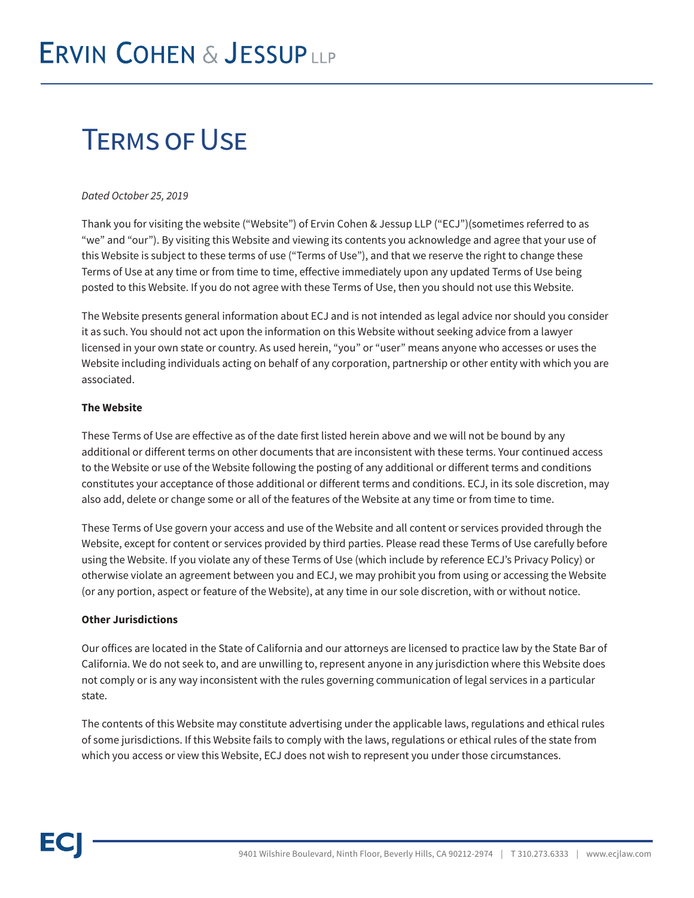# Terms of Use

#### *Dated October 25, 2019*

Thank you for visiting the website ("Website") of Ervin Cohen & Jessup LLP ("ECJ")(sometimes referred to as "we" and "our"). By visiting this Website and viewing its contents you acknowledge and agree that your use of this Website is subject to these terms of use ("Terms of Use"), and that we reserve the right to change these Terms of Use at any time or from time to time, effective immediately upon any updated Terms of Use being posted to this Website. If you do not agree with these Terms of Use, then you should not use this Website.

The Website presents general information about ECJ and is not intended as legal advice nor should you consider it as such. You should not act upon the information on this Website without seeking advice from a lawyer licensed in your own state or country. As used herein, "you" or "user" means anyone who accesses or uses the Website including individuals acting on behalf of any corporation, partnership or other entity with which you are associated.

#### **The Website**

These Terms of Use are effective as of the date first listed herein above and we will not be bound by any additional or different terms on other documents that are inconsistent with these terms. Your continued access to the Website or use of the Website following the posting of any additional or different terms and conditions constitutes your acceptance of those additional or different terms and conditions. ECJ, in its sole discretion, may also add, delete or change some or all of the features of the Website at any time or from time to time.

These Terms of Use govern your access and use of the Website and all content or services provided through the Website, except for content or services provided by third parties. Please read these Terms of Use carefully before using the Website. If you violate any of these Terms of Use (which include by reference ECJ's Privacy Policy) or otherwise violate an agreement between you and ECJ, we may prohibit you from using or accessing the Website (or any portion, aspect or feature of the Website), at any time in our sole discretion, with or without notice.

#### **Other Jurisdictions**

Our offices are located in the State of California and our attorneys are licensed to practice law by the State Bar of California. We do not seek to, and are unwilling to, represent anyone in any jurisdiction where this Website does not comply or is any way inconsistent with the rules governing communication of legal services in a particular state.

The contents of this Website may constitute advertising under the applicable laws, regulations and ethical rules of some jurisdictions. If this Website fails to comply with the laws, regulations or ethical rules of the state from which you access or view this Website, ECJ does not wish to represent you under those circumstances.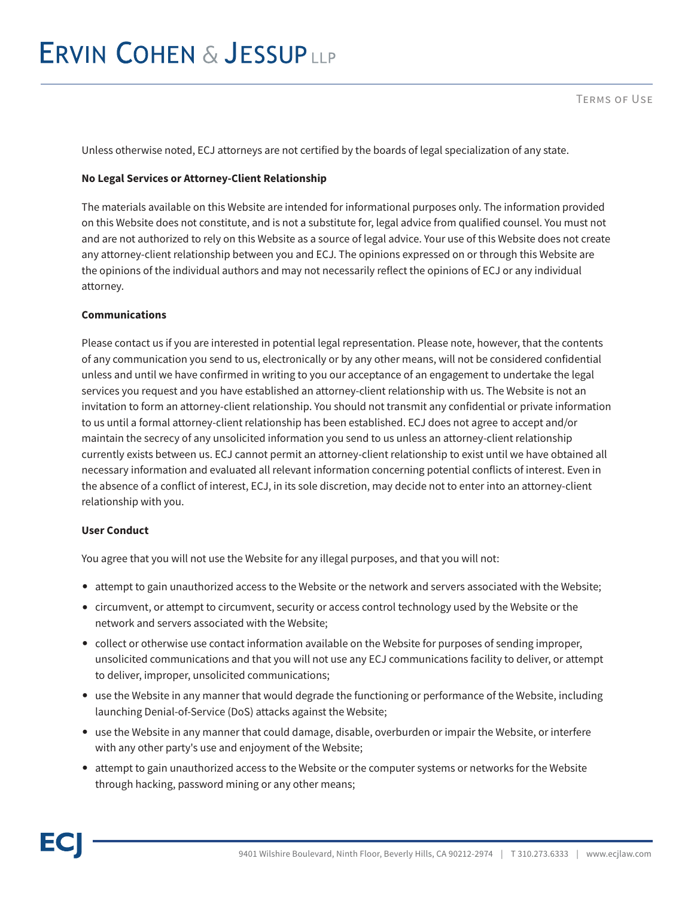## **ERVIN COHEN & JESSUPLLP**

Unless otherwise noted, ECJ attorneys are not certified by the boards of legal specialization of any state.

#### **No Legal Services or Attorney-Client Relationship**

The materials available on this Website are intended for informational purposes only. The information provided on this Website does not constitute, and is not a substitute for, legal advice from qualified counsel. You must not and are not authorized to rely on this Website as a source of legal advice. Your use of this Website does not create any attorney-client relationship between you and ECJ. The opinions expressed on or through this Website are the opinions of the individual authors and may not necessarily reflect the opinions of ECJ or any individual attorney.

#### **Communications**

Please contact us if you are interested in potential legal representation. Please note, however, that the contents of any communication you send to us, electronically or by any other means, will not be considered confidential unless and until we have confirmed in writing to you our acceptance of an engagement to undertake the legal services you request and you have established an attorney-client relationship with us. The Website is not an invitation to form an attorney-client relationship. You should not transmit any confidential or private information to us until a formal attorney-client relationship has been established. ECJ does not agree to accept and/or maintain the secrecy of any unsolicited information you send to us unless an attorney-client relationship currently exists between us. ECJ cannot permit an attorney-client relationship to exist until we have obtained all necessary information and evaluated all relevant information concerning potential conflicts of interest. Even in the absence of a conflict of interest, ECJ, in its sole discretion, may decide not to enter into an attorney-client relationship with you.

#### **User Conduct**

You agree that you will not use the Website for any illegal purposes, and that you will not:

- attempt to gain unauthorized access to the Website or the network and servers associated with the Website;
- circumvent, or attempt to circumvent, security or access control technology used by the Website or the network and servers associated with the Website;
- collect or otherwise use contact information available on the Website for purposes of sending improper, unsolicited communications and that you will not use any ECJ communications facility to deliver, or attempt to deliver, improper, unsolicited communications;
- use the Website in any manner that would degrade the functioning or performance of the Website, including launching Denial-of-Service (DoS) attacks against the Website;
- use the Website in any manner that could damage, disable, overburden or impair the Website, or interfere with any other party's use and enjoyment of the Website;
- attempt to gain unauthorized access to the Website or the computer systems or networks for the Website through hacking, password mining or any other means;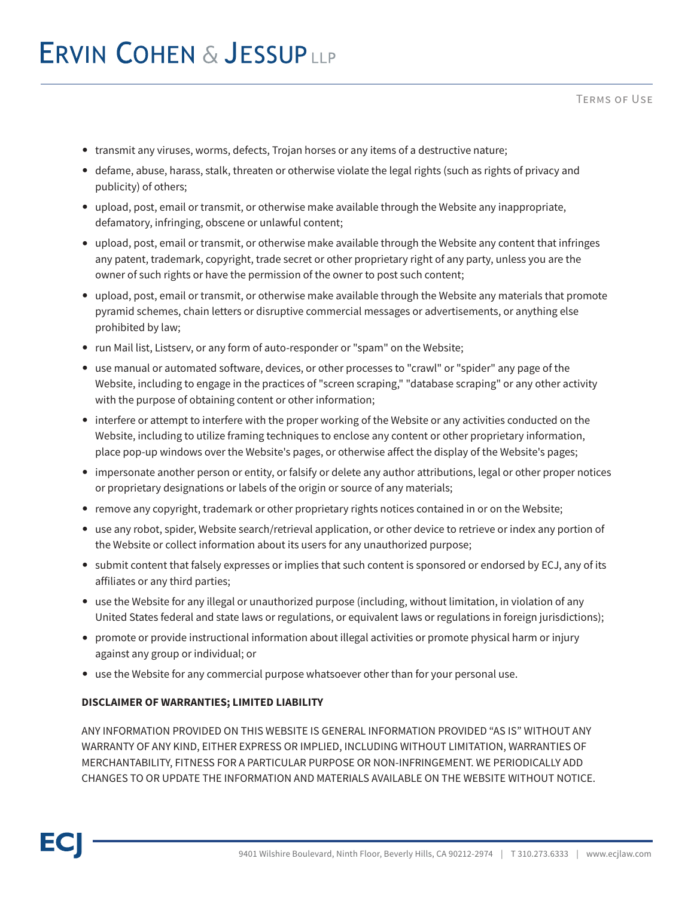- transmit any viruses, worms, defects, Trojan horses or any items of a destructive nature;
- defame, abuse, harass, stalk, threaten or otherwise violate the legal rights (such as rights of privacy and publicity) of others;
- upload, post, email or transmit, or otherwise make available through the Website any inappropriate, defamatory, infringing, obscene or unlawful content;
- upload, post, email or transmit, or otherwise make available through the Website any content that infringes any patent, trademark, copyright, trade secret or other proprietary right of any party, unless you are the owner of such rights or have the permission of the owner to post such content;
- upload, post, email or transmit, or otherwise make available through the Website any materials that promote pyramid schemes, chain letters or disruptive commercial messages or advertisements, or anything else prohibited by law;
- run Mail list, Listserv, or any form of auto-responder or "spam" on the Website;
- use manual or automated software, devices, or other processes to "crawl" or "spider" any page of the Website, including to engage in the practices of "screen scraping," "database scraping" or any other activity with the purpose of obtaining content or other information;
- interfere or attempt to interfere with the proper working of the Website or any activities conducted on the Website, including to utilize framing techniques to enclose any content or other proprietary information, place pop-up windows over the Website's pages, or otherwise affect the display of the Website's pages;
- impersonate another person or entity, or falsify or delete any author attributions, legal or other proper notices or proprietary designations or labels of the origin or source of any materials;
- remove any copyright, trademark or other proprietary rights notices contained in or on the Website;
- use any robot, spider, Website search/retrieval application, or other device to retrieve or index any portion of the Website or collect information about its users for any unauthorized purpose;
- submit content that falsely expresses or implies that such content is sponsored or endorsed by ECJ, any of its affiliates or any third parties;
- use the Website for any illegal or unauthorized purpose (including, without limitation, in violation of any United States federal and state laws or regulations, or equivalent laws or regulations in foreign jurisdictions);
- promote or provide instructional information about illegal activities or promote physical harm or injury against any group or individual; or
- use the Website for any commercial purpose whatsoever other than for your personal use.

#### **DISCLAIMER OF WARRANTIES; LIMITED LIABILITY**

ANY INFORMATION PROVIDED ON THIS WEBSITE IS GENERAL INFORMATION PROVIDED "AS IS" WITHOUT ANY WARRANTY OF ANY KIND, EITHER EXPRESS OR IMPLIED, INCLUDING WITHOUT LIMITATION, WARRANTIES OF MERCHANTABILITY, FITNESS FOR A PARTICULAR PURPOSE OR NON-INFRINGEMENT. WE PERIODICALLY ADD CHANGES TO OR UPDATE THE INFORMATION AND MATERIALS AVAILABLE ON THE WEBSITE WITHOUT NOTICE.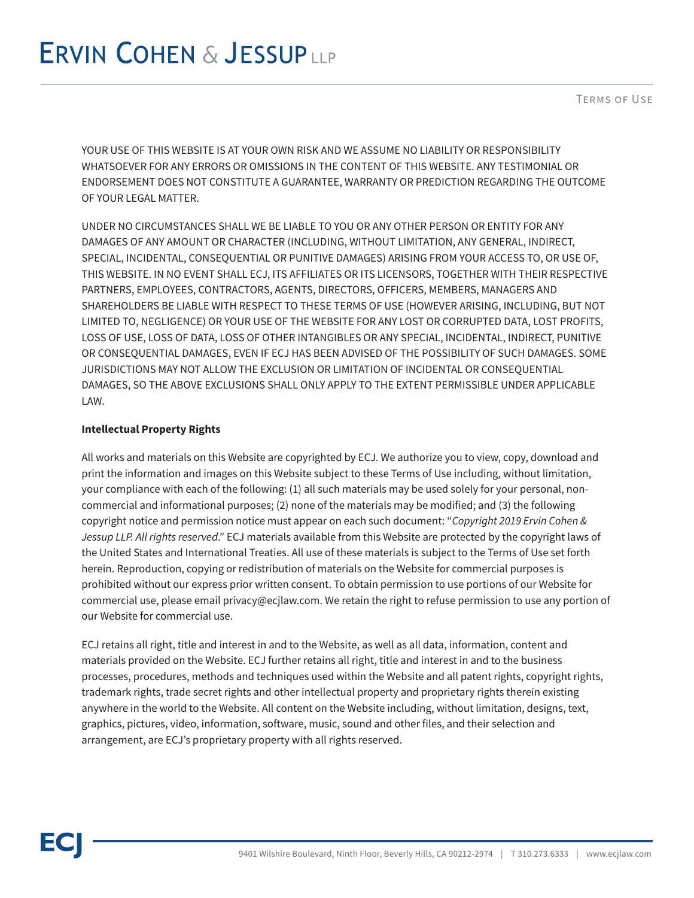YOUR USE OF THIS WEBSITE IS AT YOUR OWN RISK AND WE ASSUME NO LIABILITY OR RESPONSIBILITY WHATSOEVER FOR ANY ERRORS OR OMISSIONS IN THE CONTENT OF THIS WEBSITE. ANY TESTIMONIAL OR ENDORSEMENT DOES NOT CONSTITUTE A GUARANTEE, WARRANTY OR PREDICTION REGARDING THE OUTCOME OF YOUR LEGAL MATTER.

UNDER NO CIRCUMSTANCES SHALL WE BE LIABLE TO YOU OR ANY OTHER PERSON OR ENTITY FOR ANY DAMAGES OF ANY AMOUNT OR CHARACTER (INCLUDING, WITHOUT LIMITATION, ANY GENERAL, INDIRECT, SPECIAL, INCIDENTAL, CONSEQUENTIAL OR PUNITIVE DAMAGES) ARISING FROM YOUR ACCESS TO, OR USE OF, THIS WEBSITE. IN NO EVENT SHALL ECJ, ITS AFFILIATES OR ITS LICENSORS, TOGETHER WITH THEIR RESPECTIVE PARTNERS, EMPLOYEES, CONTRACTORS, AGENTS, DIRECTORS, OFFICERS, MEMBERS, MANAGERS AND SHAREHOLDERS BE LIABLE WITH RESPECT TO THESE TERMS OF USE (HOWEVER ARISING, INCLUDING, BUT NOT LIMITED TO, NEGLIGENCE) OR YOUR USE OF THE WEBSITE FOR ANY LOST OR CORRUPTED DATA, LOST PROFITS, LOSS OF USE, LOSS OF DATA, LOSS OF OTHER INTANGIBLES OR ANY SPECIAL, INCIDENTAL, INDIRECT, PUNITIVE OR CONSEQUENTIAL DAMAGES, EVEN IF ECJ HAS BEEN ADVISED OF THE POSSIBILITY OF SUCH DAMAGES. SOME JURISDICTIONS MAY NOT ALLOW THE EXCLUSION OR LIMITATION OF INCIDENTAL OR CONSEQUENTIAL DAMAGES, SO THE ABOVE EXCLUSIONS SHALL ONLY APPLY TO THE EXTENT PERMISSIBLE UNDER APPLICABLE LAW.

## **Intellectual Property Rights**

All works and materials on this Website are copyrighted by ECJ. We authorize you to view, copy, download and print the information and images on this Website subject to these Terms of Use including, without limitation, your compliance with each of the following: (1) all such materials may be used solely for your personal, noncommercial and informational purposes; (2) none of the materials may be modified; and (3) the following copyright notice and permission notice must appear on each such document: "*Copyright 2019 Ervin Cohen & Jessup LLP. All rights reserved*." ECJ materials available from this Website are protected by the copyright laws of the United States and International Treaties. All use of these materials is subject to the Terms of Use set forth herein. Reproduction, copying or redistribution of materials on the Website for commercial purposes is prohibited without our express prior written consent. To obtain permission to use portions of our Website for commercial use, please email privacy@ecjlaw.com. We retain the right to refuse permission to use any portion of our Website for commercial use.

ECJ retains all right, title and interest in and to the Website, as well as all data, information, content and materials provided on the Website. ECJ further retains all right, title and interest in and to the business processes, procedures, methods and techniques used within the Website and all patent rights, copyright rights, trademark rights, trade secret rights and other intellectual property and proprietary rights therein existing anywhere in the world to the Website. All content on the Website including, without limitation, designs, text, graphics, pictures, video, information, software, music, sound and other files, and their selection and arrangement, are ECJ's proprietary property with all rights reserved.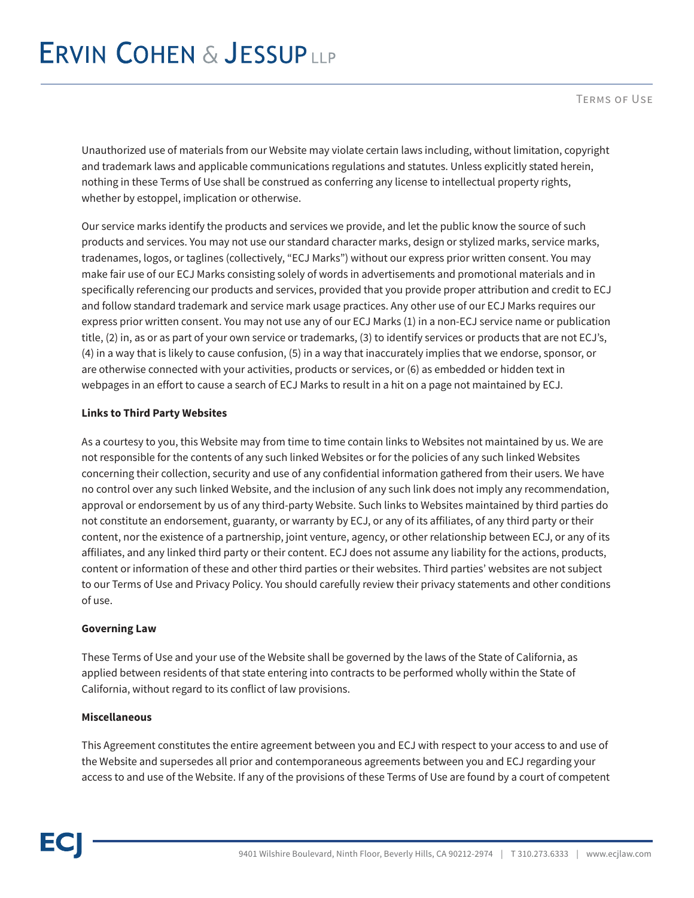Terms of Use

Unauthorized use of materials from our Website may violate certain laws including, without limitation, copyright and trademark laws and applicable communications regulations and statutes. Unless explicitly stated herein, nothing in these Terms of Use shall be construed as conferring any license to intellectual property rights, whether by estoppel, implication or otherwise.

Our service marks identify the products and services we provide, and let the public know the source of such products and services. You may not use our standard character marks, design or stylized marks, service marks, tradenames, logos, or taglines (collectively, "ECJ Marks") without our express prior written consent. You may make fair use of our ECJ Marks consisting solely of words in advertisements and promotional materials and in specifically referencing our products and services, provided that you provide proper attribution and credit to ECJ and follow standard trademark and service mark usage practices. Any other use of our ECJ Marks requires our express prior written consent. You may not use any of our ECJ Marks (1) in a non-ECJ service name or publication title, (2) in, as or as part of your own service or trademarks, (3) to identify services or products that are not ECJ's, (4) in a way that is likely to cause confusion, (5) in a way that inaccurately implies that we endorse, sponsor, or are otherwise connected with your activities, products or services, or (6) as embedded or hidden text in webpages in an effort to cause a search of ECJ Marks to result in a hit on a page not maintained by ECJ.

## **Links to Third Party Websites**

As a courtesy to you, this Website may from time to time contain links to Websites not maintained by us. We are not responsible for the contents of any such linked Websites or for the policies of any such linked Websites concerning their collection, security and use of any confidential information gathered from their users. We have no control over any such linked Website, and the inclusion of any such link does not imply any recommendation, approval or endorsement by us of any third-party Website. Such links to Websites maintained by third parties do not constitute an endorsement, guaranty, or warranty by ECJ, or any of its affiliates, of any third party or their content, nor the existence of a partnership, joint venture, agency, or other relationship between ECJ, or any of its affiliates, and any linked third party or their content. ECJ does not assume any liability for the actions, products, content or information of these and other third parties or their websites. Third parties' websites are not subject to our Terms of Use and Privacy Policy. You should carefully review their privacy statements and other conditions of use.

## **Governing Law**

These Terms of Use and your use of the Website shall be governed by the laws of the State of California, as applied between residents of that state entering into contracts to be performed wholly within the State of California, without regard to its conflict of law provisions.

## **Miscellaneous**

This Agreement constitutes the entire agreement between you and ECJ with respect to your access to and use of the Website and supersedes all prior and contemporaneous agreements between you and ECJ regarding your access to and use of the Website. If any of the provisions of these Terms of Use are found by a court of competent